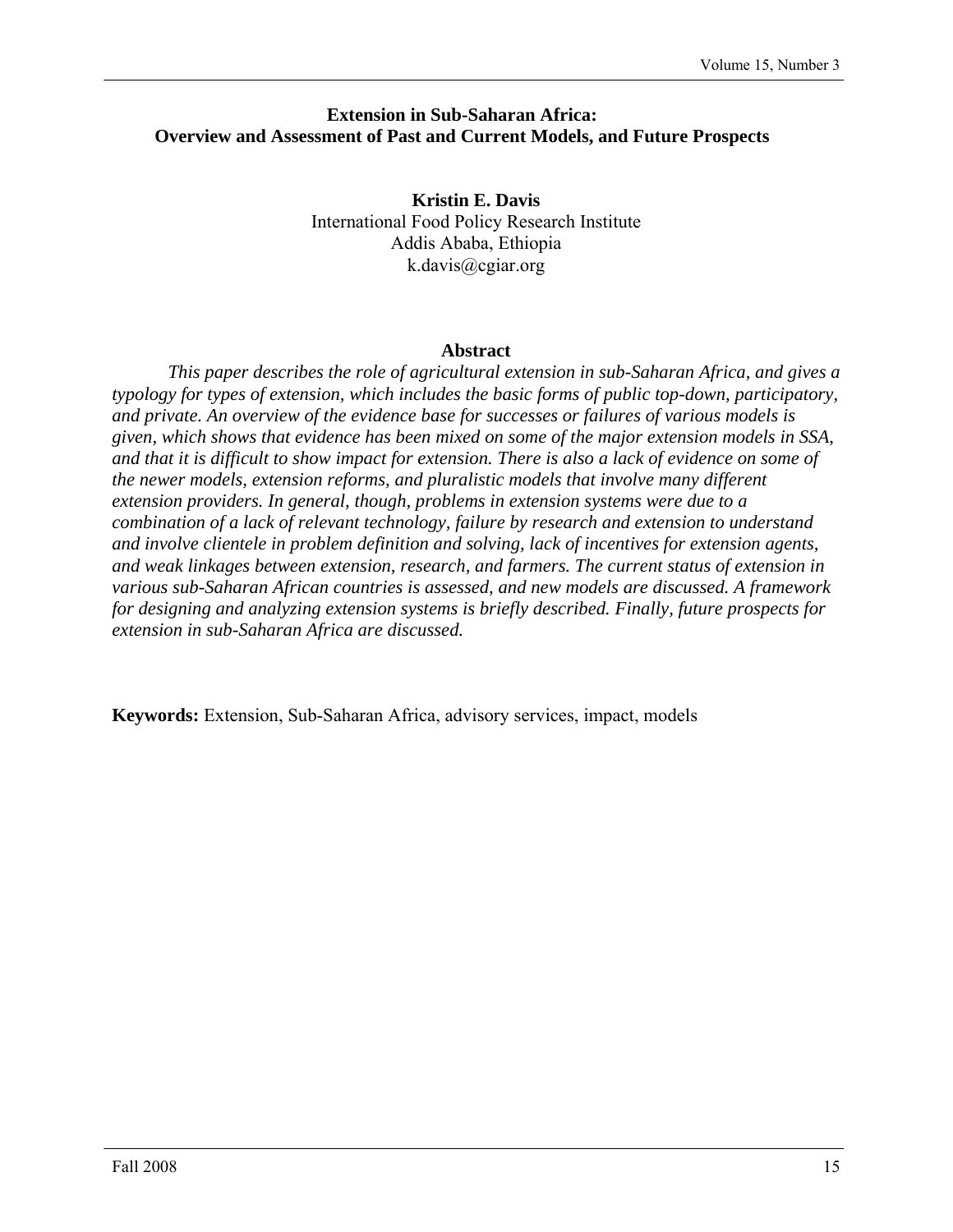# **Extension in Sub-Saharan Africa: Overview and Assessment of Past and Current Models, and Future Prospects**

**Kristin E. Davis**  International Food Policy Research Institute Addis Ababa, Ethiopia k.davis@cgiar.org

## **Abstract**

*This paper describes the role of agricultural extension in sub-Saharan Africa, and gives a typology for types of extension, which includes the basic forms of public top-down, participatory, and private. An overview of the evidence base for successes or failures of various models is given, which shows that evidence has been mixed on some of the major extension models in SSA, and that it is difficult to show impact for extension. There is also a lack of evidence on some of the newer models, extension reforms, and pluralistic models that involve many different extension providers. In general, though, problems in extension systems were due to a combination of a lack of relevant technology, failure by research and extension to understand and involve clientele in problem definition and solving, lack of incentives for extension agents, and weak linkages between extension, research, and farmers. The current status of extension in various sub-Saharan African countries is assessed, and new models are discussed. A framework for designing and analyzing extension systems is briefly described. Finally, future prospects for extension in sub-Saharan Africa are discussed.* 

**Keywords:** Extension, Sub-Saharan Africa, advisory services, impact, models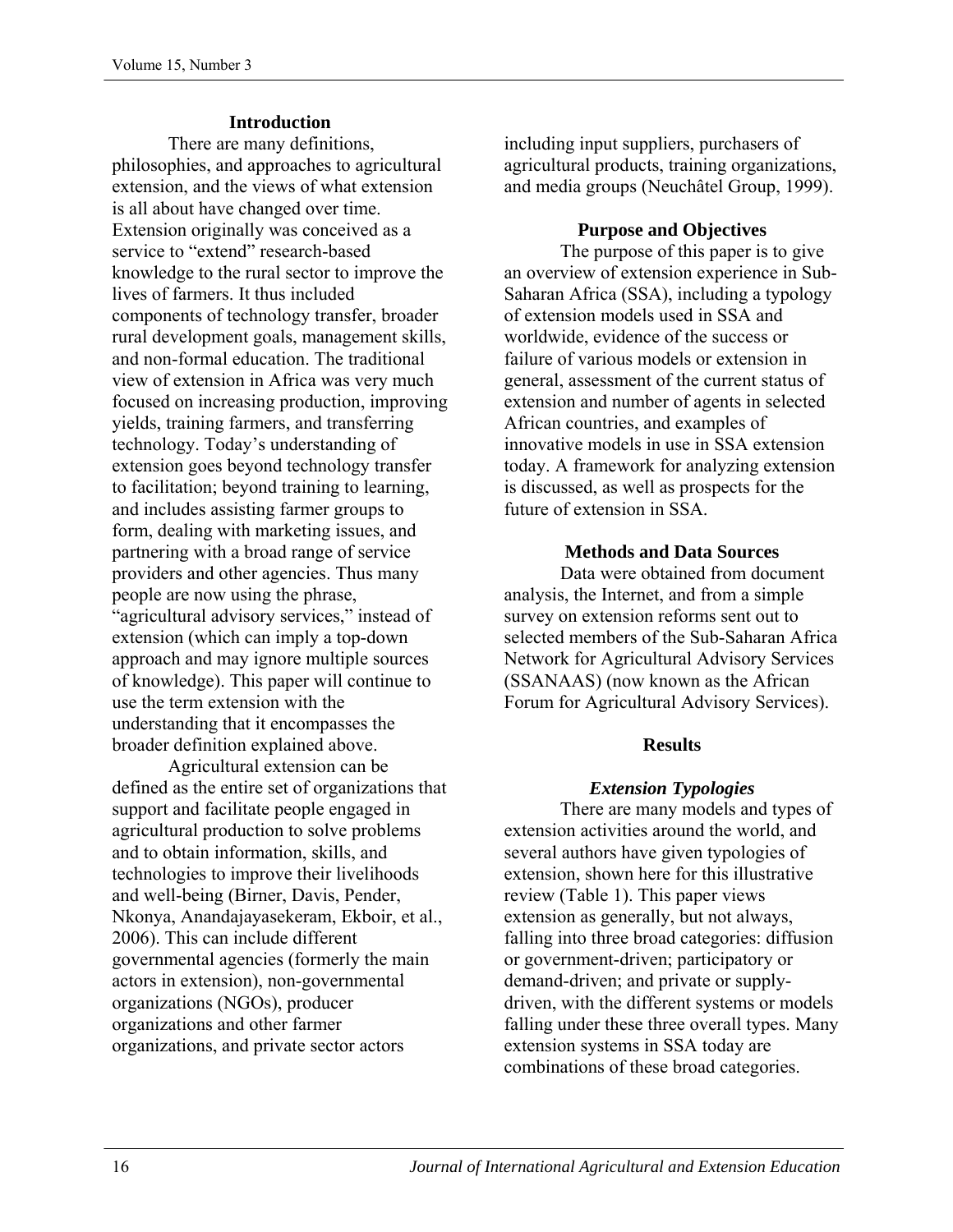# **Introduction**

There are many definitions, philosophies, and approaches to agricultural extension, and the views of what extension is all about have changed over time. Extension originally was conceived as a service to "extend" research-based knowledge to the rural sector to improve the lives of farmers. It thus included components of technology transfer, broader rural development goals, management skills, and non-formal education. The traditional view of extension in Africa was very much focused on increasing production, improving yields, training farmers, and transferring technology. Today's understanding of extension goes beyond technology transfer to facilitation; beyond training to learning, and includes assisting farmer groups to form, dealing with marketing issues, and partnering with a broad range of service providers and other agencies. Thus many people are now using the phrase, "agricultural advisory services," instead of extension (which can imply a top-down approach and may ignore multiple sources of knowledge). This paper will continue to use the term extension with the understanding that it encompasses the broader definition explained above.

Agricultural extension can be defined as the entire set of organizations that support and facilitate people engaged in agricultural production to solve problems and to obtain information, skills, and technologies to improve their livelihoods and well-being (Birner, Davis, Pender, Nkonya, Anandajayasekeram, Ekboir, et al., 2006). This can include different governmental agencies (formerly the main actors in extension), non-governmental organizations (NGOs), producer organizations and other farmer organizations, and private sector actors

including input suppliers, purchasers of agricultural products, training organizations, and media groups (Neuchâtel Group, 1999).

### **Purpose and Objectives**

The purpose of this paper is to give an overview of extension experience in Sub-Saharan Africa (SSA), including a typology of extension models used in SSA and worldwide, evidence of the success or failure of various models or extension in general, assessment of the current status of extension and number of agents in selected African countries, and examples of innovative models in use in SSA extension today. A framework for analyzing extension is discussed, as well as prospects for the future of extension in SSA.

## **Methods and Data Sources**

Data were obtained from document analysis, the Internet, and from a simple survey on extension reforms sent out to selected members of the Sub-Saharan Africa Network for Agricultural Advisory Services (SSANAAS) (now known as the African Forum for Agricultural Advisory Services).

# **Results**

# *Extension Typologies*

There are many models and types of extension activities around the world, and several authors have given typologies of extension, shown here for this illustrative review (Table 1). This paper views extension as generally, but not always, falling into three broad categories: diffusion or government-driven; participatory or demand-driven; and private or supplydriven, with the different systems or models falling under these three overall types. Many extension systems in SSA today are combinations of these broad categories.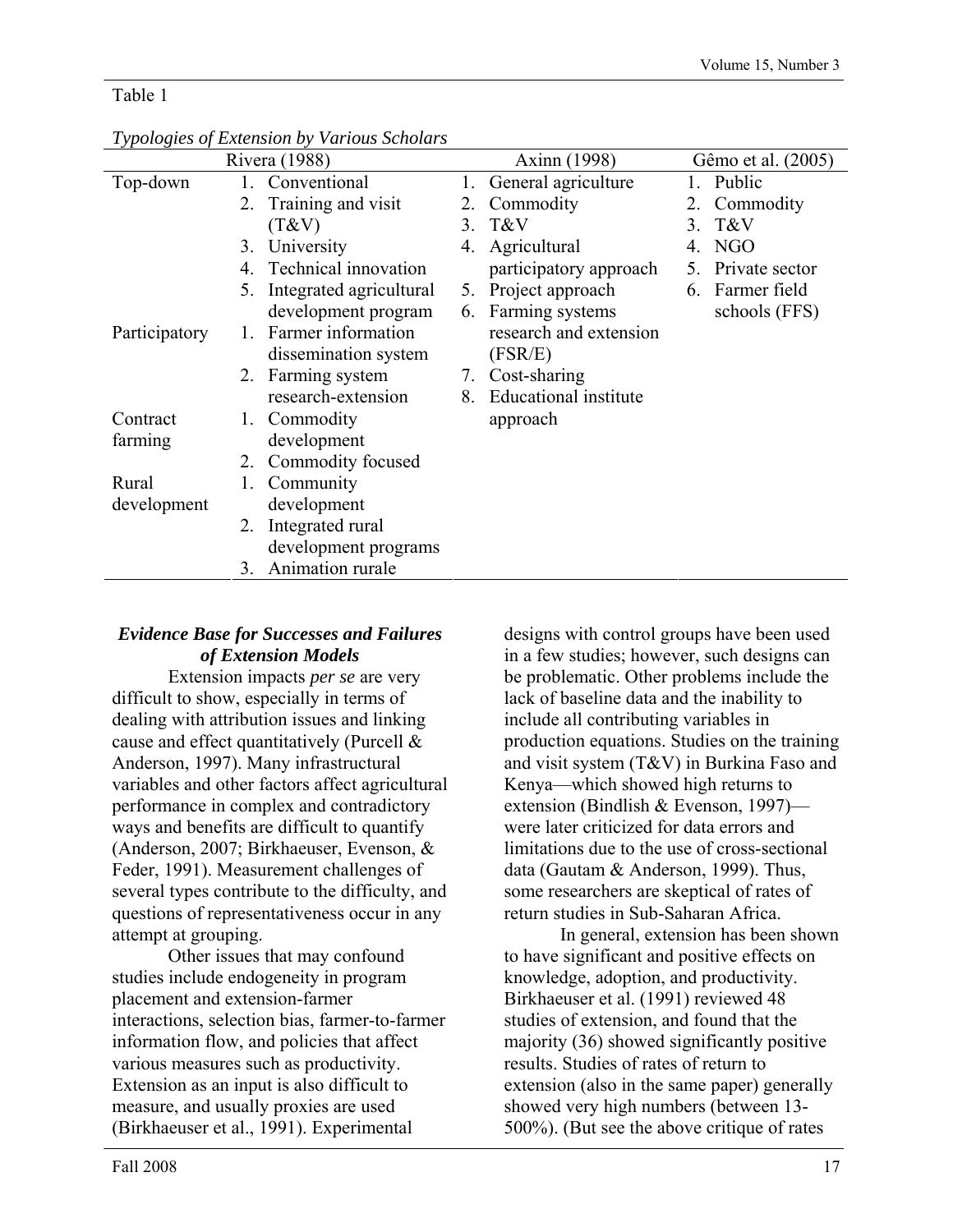# Table 1

| Rivera (1988) |    |                         | Axinn (1998) |                              | Gêmo et al. (2005) |                |
|---------------|----|-------------------------|--------------|------------------------------|--------------------|----------------|
| Top-down      | 1. | Conventional            | 1.           | General agriculture          |                    | 1. Public      |
|               | 2. | Training and visit      | 2.           | Commodity                    |                    | Commodity      |
|               |    | (T&V)                   | 3.           | T&V                          | 3                  | T&V            |
|               | 3. | University              | 4.           | Agricultural                 |                    | NGO            |
|               | 4  | Technical innovation    |              | participatory approach       | 5.                 | Private sector |
|               | 5. | Integrated agricultural | 5.           | Project approach             | 6.                 | Farmer field   |
|               |    | development program     |              | 6. Farming systems           |                    | schools (FFS)  |
| Participatory | Ι. | Farmer information      |              | research and extension       |                    |                |
|               |    | dissemination system    |              | (FSR/E)                      |                    |                |
|               | 2. | Farming system          | 7.           | Cost-sharing                 |                    |                |
|               |    | research-extension      | 8.           | <b>Educational</b> institute |                    |                |
| Contract      | 1. | Commodity               |              | approach                     |                    |                |
| farming       |    | development             |              |                              |                    |                |
|               | 2. | Commodity focused       |              |                              |                    |                |
| Rural         | 1. | Community               |              |                              |                    |                |
| development   |    | development             |              |                              |                    |                |
|               | 2. | Integrated rural        |              |                              |                    |                |
|               |    | development programs    |              |                              |                    |                |
|               | 3. | Animation rurale        |              |                              |                    |                |

# *Typologies of Extension by Various Scholars*

# *Evidence Base for Successes and Failures of Extension Models*

Extension impacts *per se* are very difficult to show, especially in terms of dealing with attribution issues and linking cause and effect quantitatively (Purcell & Anderson, 1997). Many infrastructural variables and other factors affect agricultural performance in complex and contradictory ways and benefits are difficult to quantify (Anderson, 2007; Birkhaeuser, Evenson, & Feder, 1991). Measurement challenges of several types contribute to the difficulty, and questions of representativeness occur in any attempt at grouping.

Other issues that may confound studies include endogeneity in program placement and extension-farmer interactions, selection bias, farmer-to-farmer information flow, and policies that affect various measures such as productivity. Extension as an input is also difficult to measure, and usually proxies are used (Birkhaeuser et al., 1991). Experimental

designs with control groups have been used in a few studies; however, such designs can be problematic. Other problems include the lack of baseline data and the inability to include all contributing variables in production equations. Studies on the training and visit system (T&V) in Burkina Faso and Kenya—which showed high returns to extension (Bindlish & Evenson, 1997) were later criticized for data errors and limitations due to the use of cross-sectional data (Gautam & Anderson, 1999). Thus, some researchers are skeptical of rates of return studies in Sub-Saharan Africa.

In general, extension has been shown to have significant and positive effects on knowledge, adoption, and productivity. Birkhaeuser et al. (1991) reviewed 48 studies of extension, and found that the majority (36) showed significantly positive results. Studies of rates of return to extension (also in the same paper) generally showed very high numbers (between 13- 500%). (But see the above critique of rates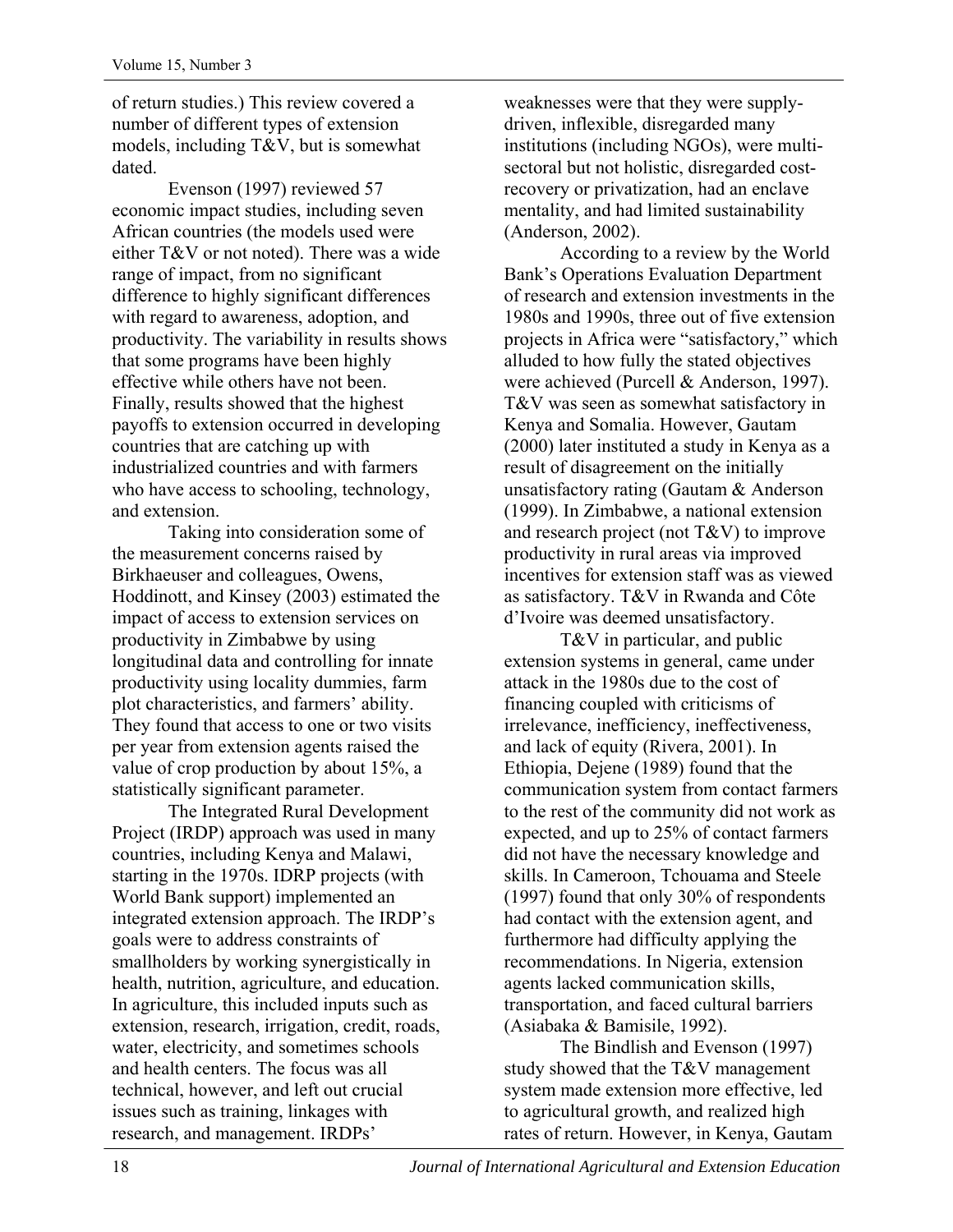of return studies.) This review covered a number of different types of extension models, including T&V, but is somewhat dated.

Evenson (1997) reviewed 57 economic impact studies, including seven African countries (the models used were either T&V or not noted). There was a wide range of impact, from no significant difference to highly significant differences with regard to awareness, adoption, and productivity. The variability in results shows that some programs have been highly effective while others have not been. Finally, results showed that the highest payoffs to extension occurred in developing countries that are catching up with industrialized countries and with farmers who have access to schooling, technology, and extension.

Taking into consideration some of the measurement concerns raised by Birkhaeuser and colleagues, Owens, Hoddinott, and Kinsey (2003) estimated the impact of access to extension services on productivity in Zimbabwe by using longitudinal data and controlling for innate productivity using locality dummies, farm plot characteristics, and farmers' ability. They found that access to one or two visits per year from extension agents raised the value of crop production by about 15%, a statistically significant parameter.

The Integrated Rural Development Project (IRDP) approach was used in many countries, including Kenya and Malawi, starting in the 1970s. IDRP projects (with World Bank support) implemented an integrated extension approach. The IRDP's goals were to address constraints of smallholders by working synergistically in health, nutrition, agriculture, and education. In agriculture, this included inputs such as extension, research, irrigation, credit, roads, water, electricity, and sometimes schools and health centers. The focus was all technical, however, and left out crucial issues such as training, linkages with research, and management. IRDPs'

weaknesses were that they were supplydriven, inflexible, disregarded many institutions (including NGOs), were multisectoral but not holistic, disregarded costrecovery or privatization, had an enclave mentality, and had limited sustainability (Anderson, 2002).

According to a review by the World Bank's Operations Evaluation Department of research and extension investments in the 1980s and 1990s, three out of five extension projects in Africa were "satisfactory," which alluded to how fully the stated objectives were achieved (Purcell & Anderson, 1997). T&V was seen as somewhat satisfactory in Kenya and Somalia. However, Gautam (2000) later instituted a study in Kenya as a result of disagreement on the initially unsatisfactory rating (Gautam & Anderson (1999). In Zimbabwe, a national extension and research project (not T&V) to improve productivity in rural areas via improved incentives for extension staff was as viewed as satisfactory. T&V in Rwanda and Côte d'Ivoire was deemed unsatisfactory.

T&V in particular, and public extension systems in general, came under attack in the 1980s due to the cost of financing coupled with criticisms of irrelevance, inefficiency, ineffectiveness, and lack of equity (Rivera, 2001). In Ethiopia, Dejene (1989) found that the communication system from contact farmers to the rest of the community did not work as expected, and up to 25% of contact farmers did not have the necessary knowledge and skills. In Cameroon, Tchouama and Steele (1997) found that only 30% of respondents had contact with the extension agent, and furthermore had difficulty applying the recommendations. In Nigeria, extension agents lacked communication skills, transportation, and faced cultural barriers (Asiabaka & Bamisile, 1992).

The Bindlish and Evenson (1997) study showed that the T&V management system made extension more effective, led to agricultural growth, and realized high rates of return. However, in Kenya, Gautam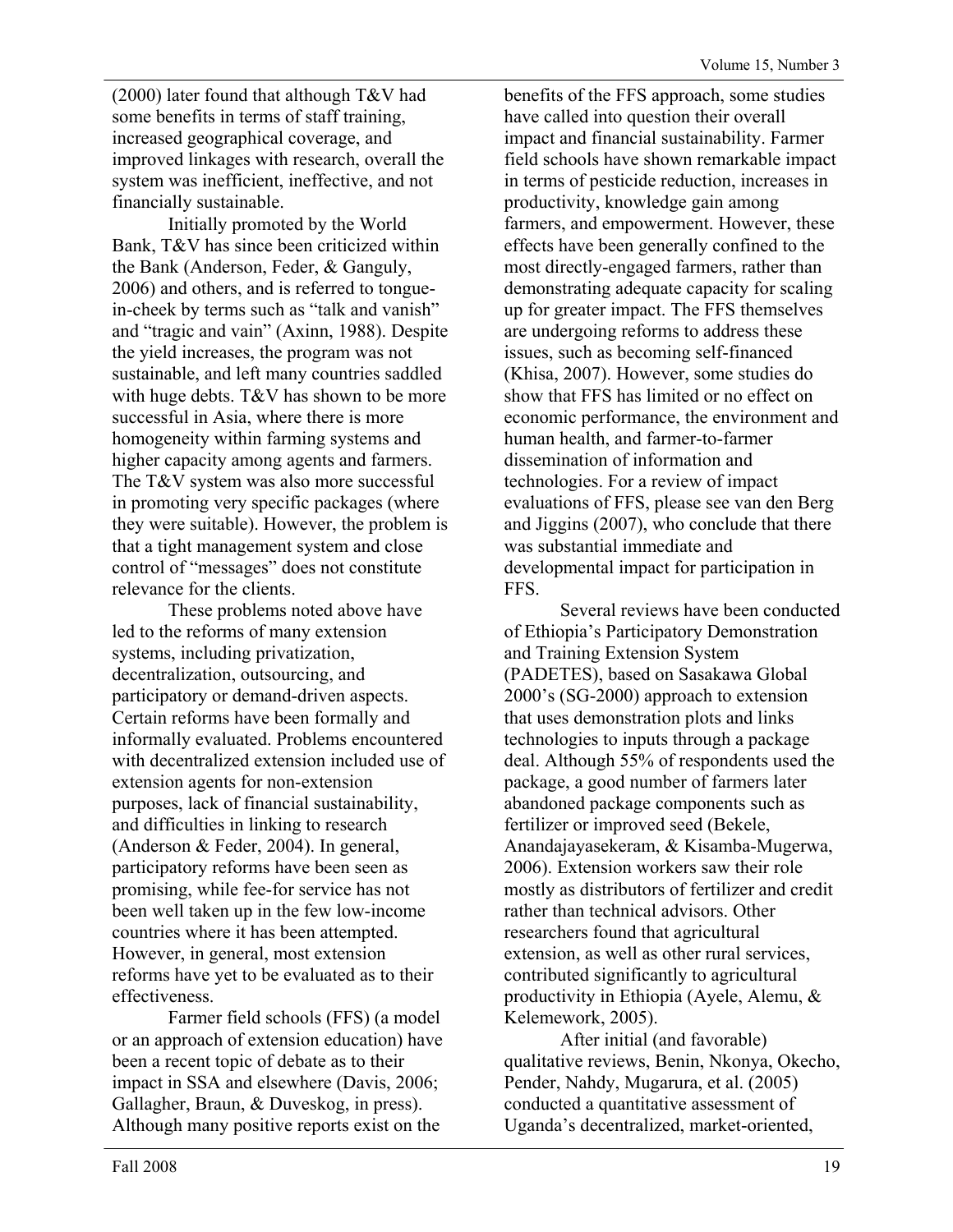(2000) later found that although T&V had some benefits in terms of staff training, increased geographical coverage, and improved linkages with research, overall the system was inefficient, ineffective, and not financially sustainable.

Initially promoted by the World Bank, T&V has since been criticized within the Bank (Anderson, Feder, & Ganguly, 2006) and others, and is referred to tonguein-cheek by terms such as "talk and vanish" and "tragic and vain" (Axinn, 1988). Despite the yield increases, the program was not sustainable, and left many countries saddled with huge debts. T&V has shown to be more successful in Asia, where there is more homogeneity within farming systems and higher capacity among agents and farmers. The T&V system was also more successful in promoting very specific packages (where they were suitable). However, the problem is that a tight management system and close control of "messages" does not constitute relevance for the clients.

These problems noted above have led to the reforms of many extension systems, including privatization, decentralization, outsourcing, and participatory or demand-driven aspects. Certain reforms have been formally and informally evaluated. Problems encountered with decentralized extension included use of extension agents for non-extension purposes, lack of financial sustainability, and difficulties in linking to research (Anderson & Feder, 2004). In general, participatory reforms have been seen as promising, while fee-for service has not been well taken up in the few low-income countries where it has been attempted. However, in general, most extension reforms have yet to be evaluated as to their effectiveness.

Farmer field schools (FFS) (a model or an approach of extension education) have been a recent topic of debate as to their impact in SSA and elsewhere (Davis, 2006; Gallagher, Braun, & Duveskog, in press). Although many positive reports exist on the

benefits of the FFS approach, some studies have called into question their overall impact and financial sustainability. Farmer field schools have shown remarkable impact in terms of pesticide reduction, increases in productivity, knowledge gain among farmers, and empowerment. However, these effects have been generally confined to the most directly-engaged farmers, rather than demonstrating adequate capacity for scaling up for greater impact. The FFS themselves are undergoing reforms to address these issues, such as becoming self-financed (Khisa, 2007). However, some studies do show that FFS has limited or no effect on economic performance, the environment and human health, and farmer-to-farmer dissemination of information and technologies. For a review of impact evaluations of FFS, please see van den Berg and Jiggins (2007), who conclude that there was substantial immediate and developmental impact for participation in FFS.

Several reviews have been conducted of Ethiopia's Participatory Demonstration and Training Extension System (PADETES), based on Sasakawa Global 2000's (SG-2000) approach to extension that uses demonstration plots and links technologies to inputs through a package deal. Although 55% of respondents used the package, a good number of farmers later abandoned package components such as fertilizer or improved seed (Bekele, Anandajayasekeram, & Kisamba-Mugerwa, 2006). Extension workers saw their role mostly as distributors of fertilizer and credit rather than technical advisors. Other researchers found that agricultural extension, as well as other rural services, contributed significantly to agricultural productivity in Ethiopia (Ayele, Alemu, & Kelemework, 2005).

After initial (and favorable) qualitative reviews, Benin, Nkonya, Okecho, Pender, Nahdy, Mugarura, et al. (2005) conducted a quantitative assessment of Uganda's decentralized, market-oriented,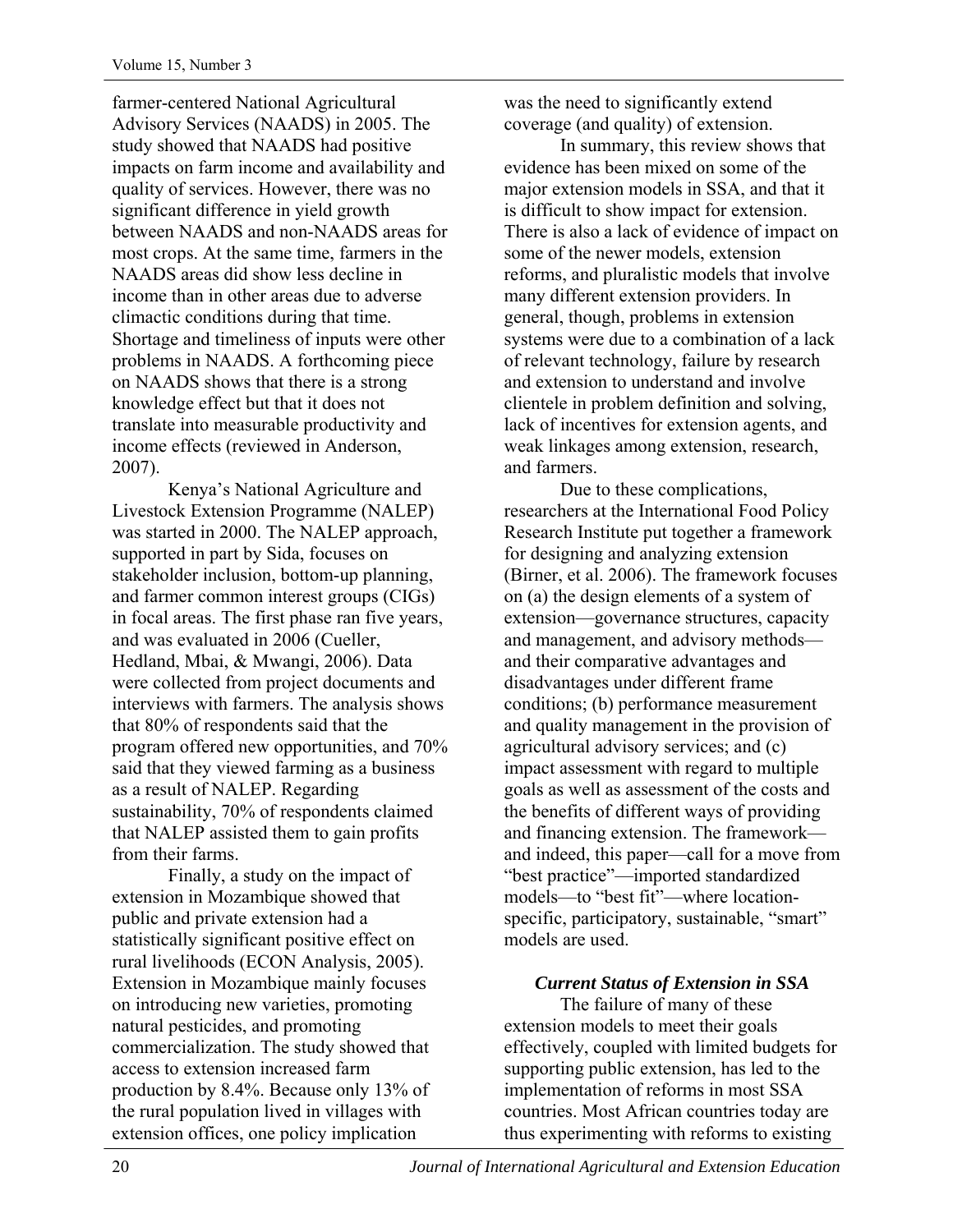farmer-centered National Agricultural Advisory Services (NAADS) in 2005. The study showed that NAADS had positive impacts on farm income and availability and quality of services. However, there was no significant difference in yield growth between NAADS and non-NAADS areas for most crops. At the same time, farmers in the NAADS areas did show less decline in income than in other areas due to adverse climactic conditions during that time. Shortage and timeliness of inputs were other problems in NAADS. A forthcoming piece on NAADS shows that there is a strong knowledge effect but that it does not translate into measurable productivity and income effects (reviewed in Anderson, 2007).

Kenya's National Agriculture and Livestock Extension Programme (NALEP) was started in 2000. The NALEP approach, supported in part by Sida, focuses on stakeholder inclusion, bottom-up planning, and farmer common interest groups (CIGs) in focal areas. The first phase ran five years, and was evaluated in 2006 (Cueller, Hedland, Mbai, & Mwangi, 2006). Data were collected from project documents and interviews with farmers. The analysis shows that 80% of respondents said that the program offered new opportunities, and 70% said that they viewed farming as a business as a result of NALEP. Regarding sustainability, 70% of respondents claimed that NALEP assisted them to gain profits from their farms.

Finally, a study on the impact of extension in Mozambique showed that public and private extension had a statistically significant positive effect on rural livelihoods (ECON Analysis, 2005). Extension in Mozambique mainly focuses on introducing new varieties, promoting natural pesticides, and promoting commercialization. The study showed that access to extension increased farm production by 8.4%. Because only 13% of the rural population lived in villages with extension offices, one policy implication

was the need to significantly extend coverage (and quality) of extension.

In summary, this review shows that evidence has been mixed on some of the major extension models in SSA, and that it is difficult to show impact for extension. There is also a lack of evidence of impact on some of the newer models, extension reforms, and pluralistic models that involve many different extension providers. In general, though, problems in extension systems were due to a combination of a lack of relevant technology, failure by research and extension to understand and involve clientele in problem definition and solving, lack of incentives for extension agents, and weak linkages among extension, research, and farmers.

Due to these complications, researchers at the International Food Policy Research Institute put together a framework for designing and analyzing extension (Birner, et al. 2006). The framework focuses on (a) the design elements of a system of extension—governance structures, capacity and management, and advisory methods and their comparative advantages and disadvantages under different frame conditions; (b) performance measurement and quality management in the provision of agricultural advisory services; and (c) impact assessment with regard to multiple goals as well as assessment of the costs and the benefits of different ways of providing and financing extension. The framework and indeed, this paper—call for a move from "best practice"—imported standardized models—to "best fit"—where locationspecific, participatory, sustainable, "smart" models are used.

# *Current Status of Extension in SSA*

The failure of many of these extension models to meet their goals effectively, coupled with limited budgets for supporting public extension, has led to the implementation of reforms in most SSA countries. Most African countries today are thus experimenting with reforms to existing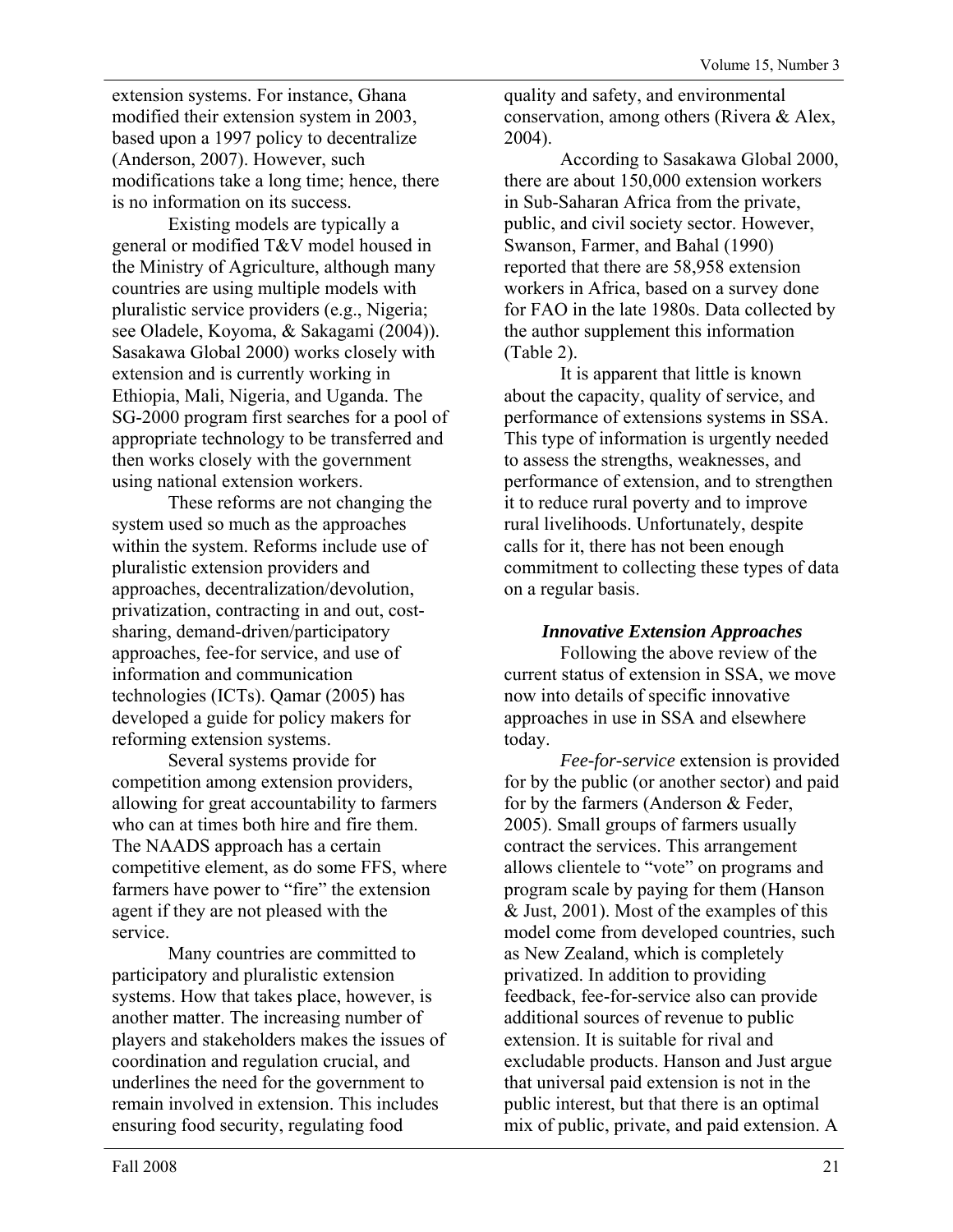extension systems. For instance, Ghana modified their extension system in 2003, based upon a 1997 policy to decentralize (Anderson, 2007). However, such modifications take a long time; hence, there is no information on its success.

Existing models are typically a general or modified T&V model housed in the Ministry of Agriculture, although many countries are using multiple models with pluralistic service providers (e.g., Nigeria; see Oladele, Koyoma, & Sakagami (2004)). Sasakawa Global 2000) works closely with extension and is currently working in Ethiopia, Mali, Nigeria, and Uganda. The SG-2000 program first searches for a pool of appropriate technology to be transferred and then works closely with the government using national extension workers.

These reforms are not changing the system used so much as the approaches within the system. Reforms include use of pluralistic extension providers and approaches, decentralization/devolution, privatization, contracting in and out, costsharing, demand-driven/participatory approaches, fee-for service, and use of information and communication technologies (ICTs). Qamar (2005) has developed a guide for policy makers for reforming extension systems.

Several systems provide for competition among extension providers, allowing for great accountability to farmers who can at times both hire and fire them. The NAADS approach has a certain competitive element, as do some FFS, where farmers have power to "fire" the extension agent if they are not pleased with the service.

Many countries are committed to participatory and pluralistic extension systems. How that takes place, however, is another matter. The increasing number of players and stakeholders makes the issues of coordination and regulation crucial, and underlines the need for the government to remain involved in extension. This includes ensuring food security, regulating food

quality and safety, and environmental conservation, among others (Rivera & Alex, 2004).

According to Sasakawa Global 2000, there are about 150,000 extension workers in Sub-Saharan Africa from the private, public, and civil society sector. However, Swanson, Farmer, and Bahal (1990) reported that there are 58,958 extension workers in Africa, based on a survey done for FAO in the late 1980s. Data collected by the author supplement this information (Table 2).

It is apparent that little is known about the capacity, quality of service, and performance of extensions systems in SSA. This type of information is urgently needed to assess the strengths, weaknesses, and performance of extension, and to strengthen it to reduce rural poverty and to improve rural livelihoods. Unfortunately, despite calls for it, there has not been enough commitment to collecting these types of data on a regular basis.

# *Innovative Extension Approaches*

Following the above review of the current status of extension in SSA, we move now into details of specific innovative approaches in use in SSA and elsewhere today.

*Fee-for-service* extension is provided for by the public (or another sector) and paid for by the farmers (Anderson & Feder, 2005). Small groups of farmers usually contract the services. This arrangement allows clientele to "vote" on programs and program scale by paying for them (Hanson & Just, 2001). Most of the examples of this model come from developed countries, such as New Zealand, which is completely privatized. In addition to providing feedback, fee-for-service also can provide additional sources of revenue to public extension. It is suitable for rival and excludable products. Hanson and Just argue that universal paid extension is not in the public interest, but that there is an optimal mix of public, private, and paid extension. A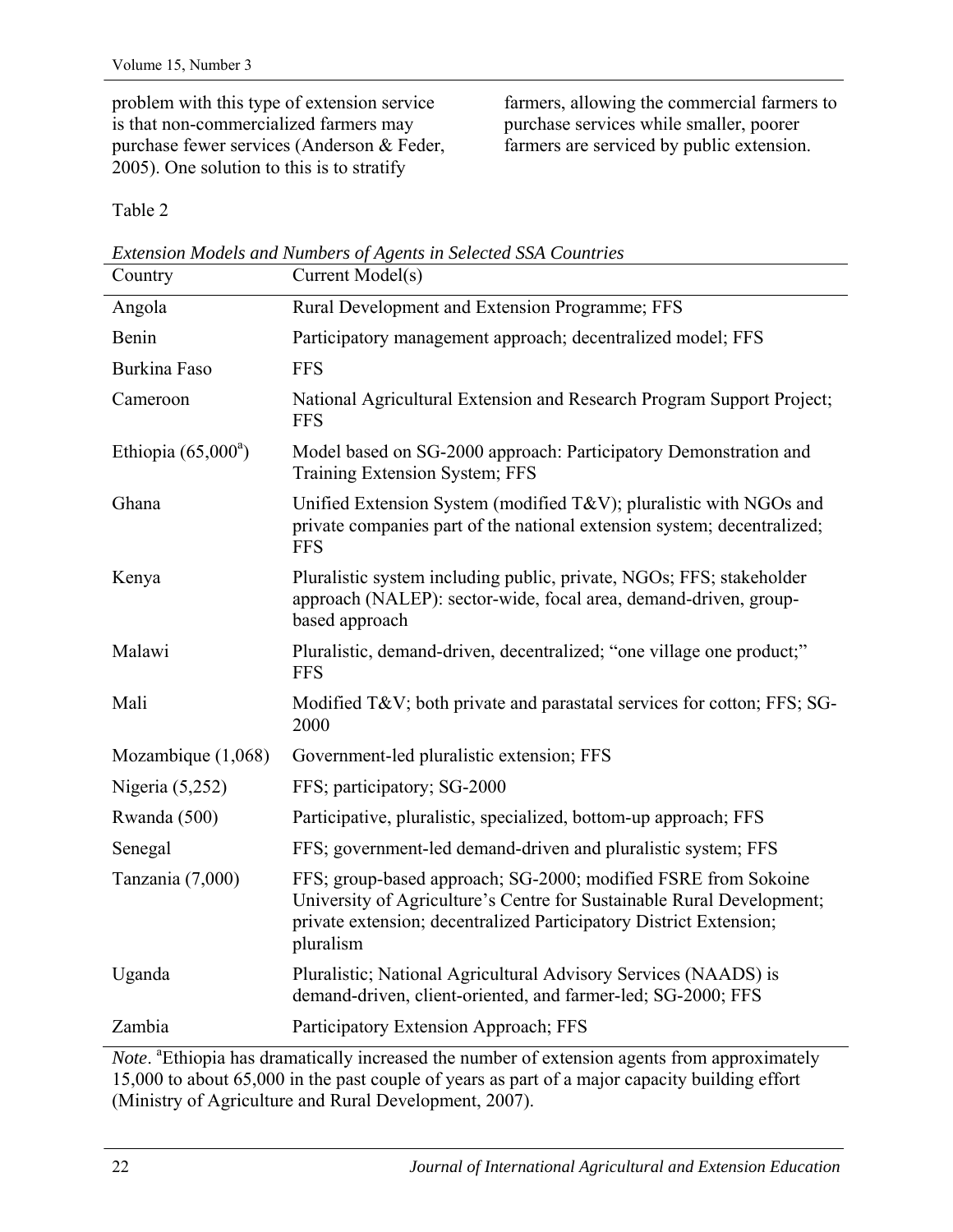problem with this type of extension service is that non-commercialized farmers may purchase fewer services (Anderson & Feder, 2005). One solution to this is to stratify

farmers, allowing the commercial farmers to purchase services while smaller, poorer farmers are serviced by public extension.

Table 2

| Country               | Current Model(s)                                                                                                                                                                                                           |
|-----------------------|----------------------------------------------------------------------------------------------------------------------------------------------------------------------------------------------------------------------------|
| Angola                | Rural Development and Extension Programme; FFS                                                                                                                                                                             |
| Benin                 | Participatory management approach; decentralized model; FFS                                                                                                                                                                |
| <b>Burkina Faso</b>   | <b>FFS</b>                                                                                                                                                                                                                 |
| Cameroon              | National Agricultural Extension and Research Program Support Project;<br><b>FFS</b>                                                                                                                                        |
| Ethiopia $(65,000^a)$ | Model based on SG-2000 approach: Participatory Demonstration and<br>Training Extension System; FFS                                                                                                                         |
| Ghana                 | Unified Extension System (modified T&V); pluralistic with NGOs and<br>private companies part of the national extension system; decentralized;<br><b>FFS</b>                                                                |
| Kenya                 | Pluralistic system including public, private, NGOs; FFS; stakeholder<br>approach (NALEP): sector-wide, focal area, demand-driven, group-<br>based approach                                                                 |
| Malawi                | Pluralistic, demand-driven, decentralized; "one village one product;"<br><b>FFS</b>                                                                                                                                        |
| Mali                  | Modified T&V both private and parastatal services for cotton; FFS; SG-<br>2000                                                                                                                                             |
| Mozambique $(1,068)$  | Government-led pluralistic extension; FFS                                                                                                                                                                                  |
| Nigeria $(5,252)$     | FFS; participatory; SG-2000                                                                                                                                                                                                |
| Rwanda (500)          | Participative, pluralistic, specialized, bottom-up approach; FFS                                                                                                                                                           |
| Senegal               | FFS; government-led demand-driven and pluralistic system; FFS                                                                                                                                                              |
| Tanzania (7,000)      | FFS; group-based approach; SG-2000; modified FSRE from Sokoine<br>University of Agriculture's Centre for Sustainable Rural Development;<br>private extension; decentralized Participatory District Extension;<br>pluralism |
| Uganda                | Pluralistic; National Agricultural Advisory Services (NAADS) is<br>demand-driven, client-oriented, and farmer-led; SG-2000; FFS                                                                                            |
| Zambia                | Participatory Extension Approach; FFS                                                                                                                                                                                      |

*Extension Models and Numbers of Agents in Selected SSA Countries* 

Note. <sup>a</sup> Ethiopia has dramatically increased the number of extension agents from approximately 15,000 to about 65,000 in the past couple of years as part of a major capacity building effort (Ministry of Agriculture and Rural Development, 2007).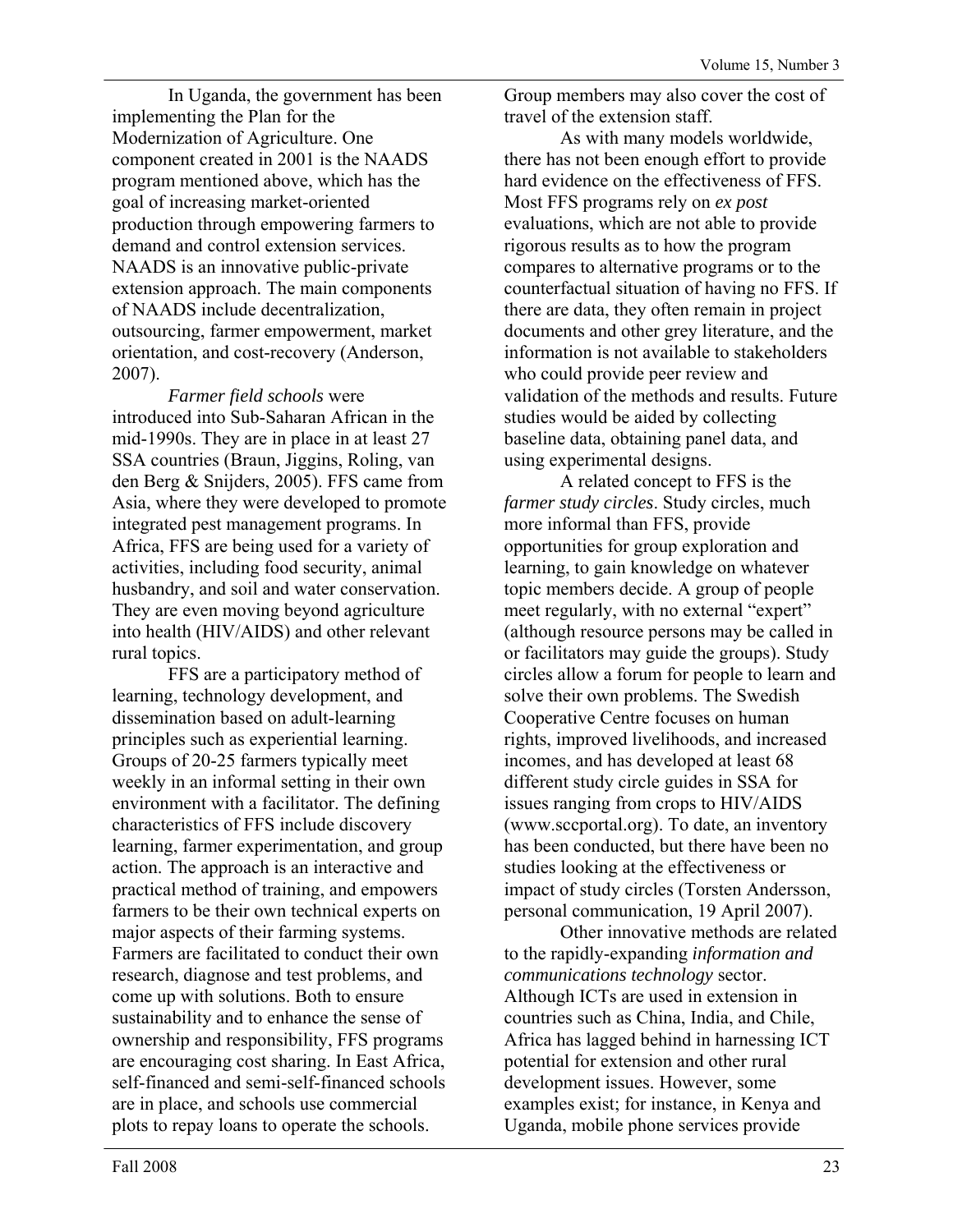In Uganda, the government has been implementing the Plan for the Modernization of Agriculture. One component created in 2001 is the NAADS program mentioned above, which has the goal of increasing market-oriented production through empowering farmers to demand and control extension services. NAADS is an innovative public-private extension approach. The main components of NAADS include decentralization, outsourcing, farmer empowerment, market orientation, and cost-recovery (Anderson, 2007).

*Farmer field schools* were introduced into Sub-Saharan African in the mid-1990s. They are in place in at least 27 SSA countries (Braun, Jiggins, Roling, van den Berg & Snijders, 2005). FFS came from Asia, where they were developed to promote integrated pest management programs. In Africa, FFS are being used for a variety of activities, including food security, animal husbandry, and soil and water conservation. They are even moving beyond agriculture into health (HIV/AIDS) and other relevant rural topics.

FFS are a participatory method of learning, technology development, and dissemination based on adult-learning principles such as experiential learning. Groups of 20-25 farmers typically meet weekly in an informal setting in their own environment with a facilitator. The defining characteristics of FFS include discovery learning, farmer experimentation, and group action. The approach is an interactive and practical method of training, and empowers farmers to be their own technical experts on major aspects of their farming systems. Farmers are facilitated to conduct their own research, diagnose and test problems, and come up with solutions. Both to ensure sustainability and to enhance the sense of ownership and responsibility, FFS programs are encouraging cost sharing. In East Africa, self-financed and semi-self-financed schools are in place, and schools use commercial plots to repay loans to operate the schools.

Group members may also cover the cost of travel of the extension staff.

As with many models worldwide, there has not been enough effort to provide hard evidence on the effectiveness of FFS. Most FFS programs rely on *ex post* evaluations, which are not able to provide rigorous results as to how the program compares to alternative programs or to the counterfactual situation of having no FFS. If there are data, they often remain in project documents and other grey literature, and the information is not available to stakeholders who could provide peer review and validation of the methods and results. Future studies would be aided by collecting baseline data, obtaining panel data, and using experimental designs.

A related concept to FFS is the *farmer study circles*. Study circles, much more informal than FFS, provide opportunities for group exploration and learning, to gain knowledge on whatever topic members decide. A group of people meet regularly, with no external "expert" (although resource persons may be called in or facilitators may guide the groups). Study circles allow a forum for people to learn and solve their own problems. The Swedish Cooperative Centre focuses on human rights, improved livelihoods, and increased incomes, and has developed at least 68 different study circle guides in SSA for issues ranging from crops to HIV/AIDS (www.sccportal.org). To date, an inventory has been conducted, but there have been no studies looking at the effectiveness or impact of study circles (Torsten Andersson, personal communication, 19 April 2007).

Other innovative methods are related to the rapidly-expanding *information and communications technology* sector. Although ICTs are used in extension in countries such as China, India, and Chile, Africa has lagged behind in harnessing ICT potential for extension and other rural development issues. However, some examples exist; for instance, in Kenya and Uganda, mobile phone services provide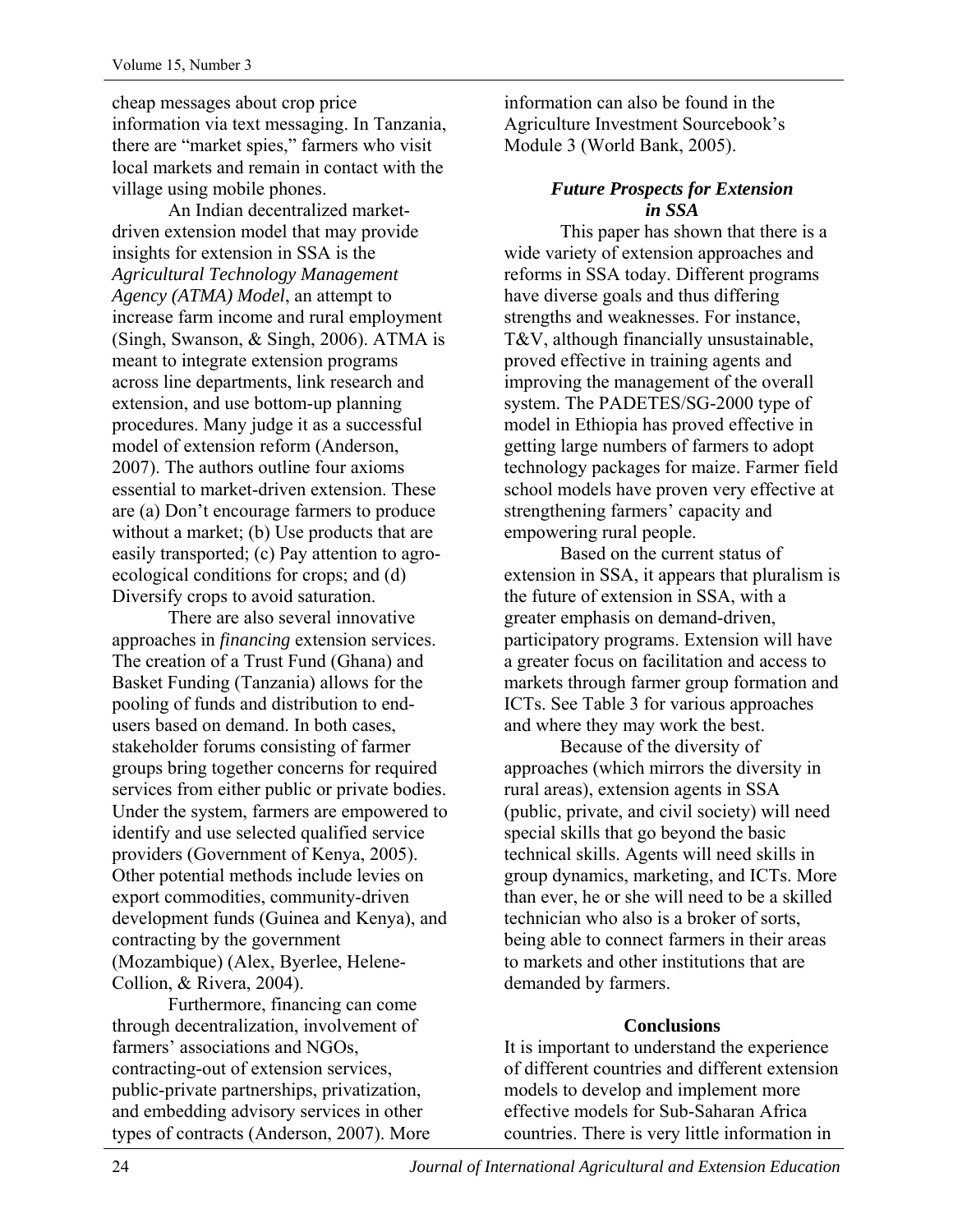cheap messages about crop price information via text messaging. In Tanzania, there are "market spies," farmers who visit local markets and remain in contact with the village using mobile phones.

An Indian decentralized marketdriven extension model that may provide insights for extension in SSA is the *Agricultural Technology Management Agency (ATMA) Model*, an attempt to increase farm income and rural employment (Singh, Swanson, & Singh, 2006). ATMA is meant to integrate extension programs across line departments, link research and extension, and use bottom-up planning procedures. Many judge it as a successful model of extension reform (Anderson, 2007). The authors outline four axioms essential to market-driven extension. These are (a) Don't encourage farmers to produce without a market; (b) Use products that are easily transported; (c) Pay attention to agroecological conditions for crops; and (d) Diversify crops to avoid saturation.

There are also several innovative approaches in *financing* extension services. The creation of a Trust Fund (Ghana) and Basket Funding (Tanzania) allows for the pooling of funds and distribution to endusers based on demand. In both cases, stakeholder forums consisting of farmer groups bring together concerns for required services from either public or private bodies. Under the system, farmers are empowered to identify and use selected qualified service providers (Government of Kenya, 2005). Other potential methods include levies on export commodities, community-driven development funds (Guinea and Kenya), and contracting by the government (Mozambique) (Alex, Byerlee, Helene-Collion, & Rivera, 2004).

Furthermore, financing can come through decentralization, involvement of farmers' associations and NGOs, contracting-out of extension services, public-private partnerships, privatization, and embedding advisory services in other types of contracts (Anderson, 2007). More information can also be found in the Agriculture Investment Sourcebook's Module 3 (World Bank, 2005).

# *Future Prospects for Extension in SSA*

This paper has shown that there is a wide variety of extension approaches and reforms in SSA today. Different programs have diverse goals and thus differing strengths and weaknesses. For instance, T&V, although financially unsustainable, proved effective in training agents and improving the management of the overall system. The PADETES/SG-2000 type of model in Ethiopia has proved effective in getting large numbers of farmers to adopt technology packages for maize. Farmer field school models have proven very effective at strengthening farmers' capacity and empowering rural people.

Based on the current status of extension in SSA, it appears that pluralism is the future of extension in SSA, with a greater emphasis on demand-driven, participatory programs. Extension will have a greater focus on facilitation and access to markets through farmer group formation and ICTs. See Table 3 for various approaches and where they may work the best.

Because of the diversity of approaches (which mirrors the diversity in rural areas), extension agents in SSA (public, private, and civil society) will need special skills that go beyond the basic technical skills. Agents will need skills in group dynamics, marketing, and ICTs. More than ever, he or she will need to be a skilled technician who also is a broker of sorts, being able to connect farmers in their areas to markets and other institutions that are demanded by farmers.

### **Conclusions**

It is important to understand the experience of different countries and different extension models to develop and implement more effective models for Sub-Saharan Africa countries. There is very little information in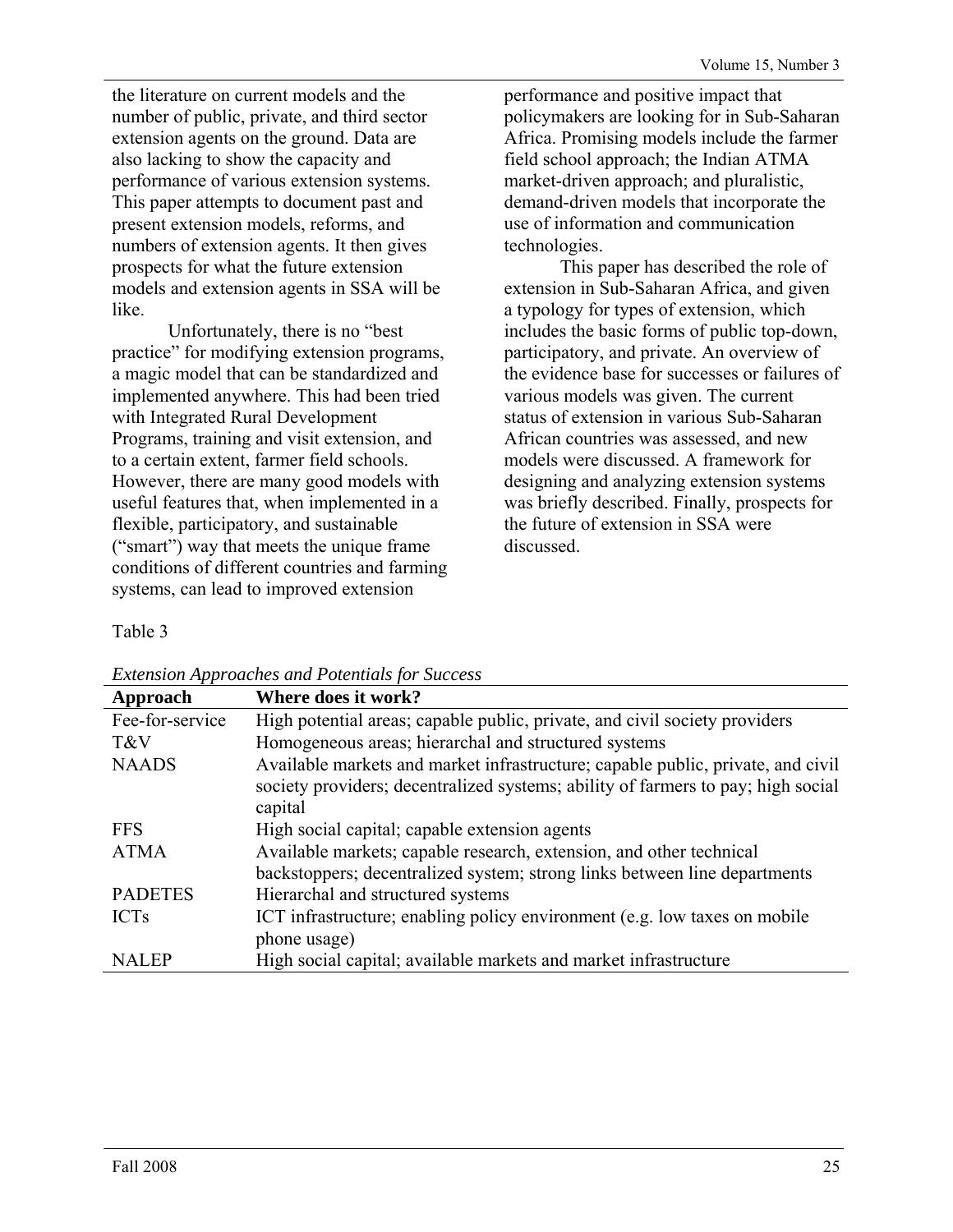the literature on current models and the number of public, private, and third sector extension agents on the ground. Data are also lacking to show the capacity and performance of various extension systems. This paper attempts to document past and present extension models, reforms, and numbers of extension agents. It then gives prospects for what the future extension models and extension agents in SSA will be like.

Unfortunately, there is no "best practice" for modifying extension programs, a magic model that can be standardized and implemented anywhere. This had been tried with Integrated Rural Development Programs, training and visit extension, and to a certain extent, farmer field schools. However, there are many good models with useful features that, when implemented in a flexible, participatory, and sustainable ("smart") way that meets the unique frame conditions of different countries and farming systems, can lead to improved extension

performance and positive impact that policymakers are looking for in Sub-Saharan Africa. Promising models include the farmer field school approach; the Indian ATMA market-driven approach; and pluralistic, demand-driven models that incorporate the use of information and communication technologies.

This paper has described the role of extension in Sub-Saharan Africa, and given a typology for types of extension, which includes the basic forms of public top-down, participatory, and private. An overview of the evidence base for successes or failures of various models was given. The current status of extension in various Sub-Saharan African countries was assessed, and new models were discussed. A framework for designing and analyzing extension systems was briefly described. Finally, prospects for the future of extension in SSA were discussed.

# Table 3

| Extension Tippi ouches una 1 otentials for Saccess |                                                                                                                                                                                |  |  |  |
|----------------------------------------------------|--------------------------------------------------------------------------------------------------------------------------------------------------------------------------------|--|--|--|
| Approach                                           | Where does it work?                                                                                                                                                            |  |  |  |
| Fee-for-service                                    | High potential areas; capable public, private, and civil society providers                                                                                                     |  |  |  |
| T&V                                                | Homogeneous areas; hierarchal and structured systems                                                                                                                           |  |  |  |
| <b>NAADS</b>                                       | Available markets and market infrastructure; capable public, private, and civil<br>society providers; decentralized systems; ability of farmers to pay; high social<br>capital |  |  |  |
| <b>FFS</b>                                         | High social capital; capable extension agents                                                                                                                                  |  |  |  |
| <b>ATMA</b>                                        | Available markets; capable research, extension, and other technical<br>backstoppers; decentralized system; strong links between line departments                               |  |  |  |
| <b>PADETES</b>                                     | Hierarchal and structured systems                                                                                                                                              |  |  |  |
| <b>ICTs</b>                                        | ICT infrastructure; enabling policy environment (e.g. low taxes on mobile<br>phone usage)                                                                                      |  |  |  |
| <b>NALEP</b>                                       | High social capital; available markets and market infrastructure                                                                                                               |  |  |  |

#### *Extension Approaches and Potentials for Success*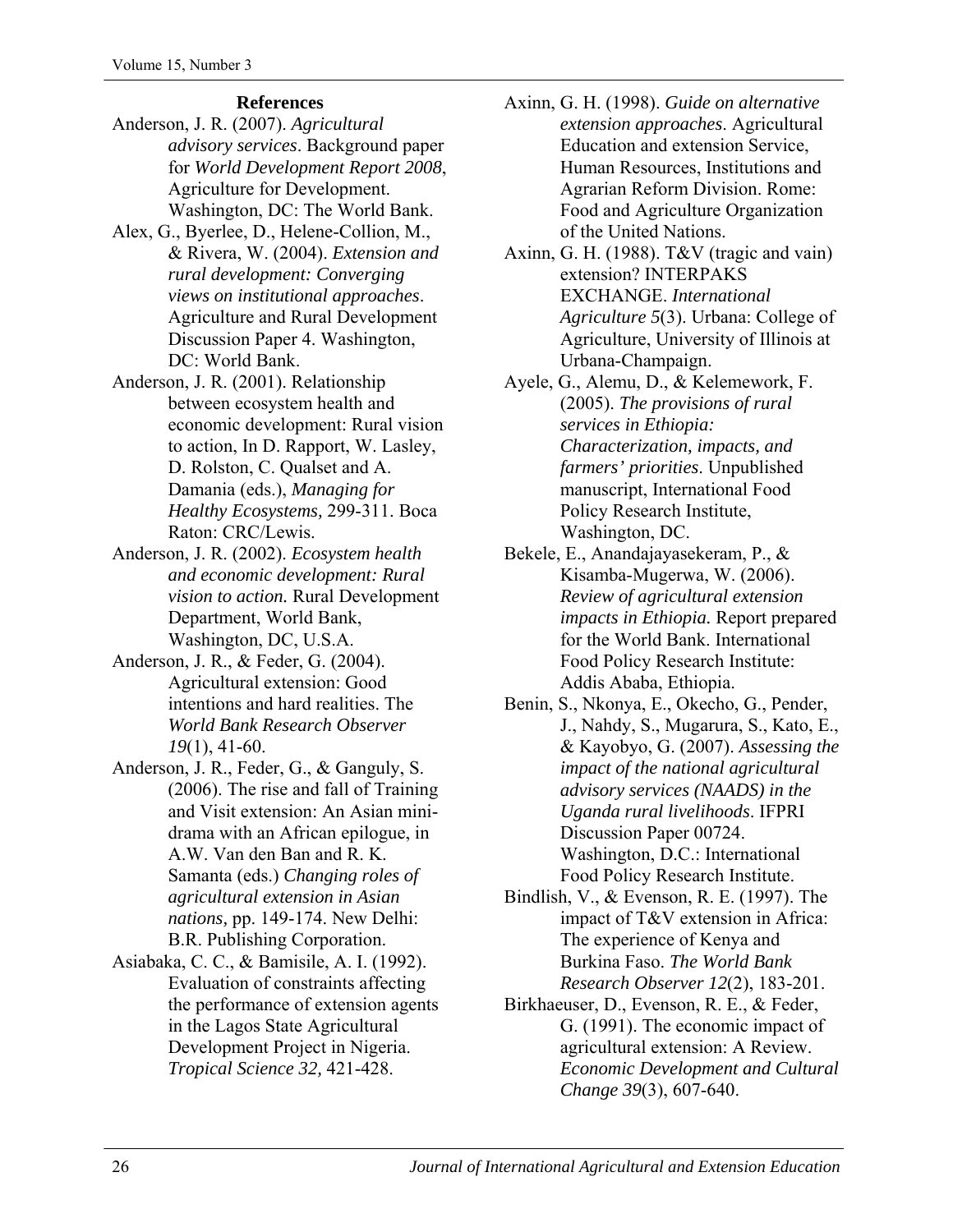# **References**

- Anderson, J. R. (2007). *Agricultural advisory services*. Background paper for *World Development Report 2008*, Agriculture for Development. Washington, DC: The World Bank.
- Alex, G., Byerlee, D., Helene-Collion, M., & Rivera, W. (2004). *Extension and rural development: Converging views on institutional approaches*. Agriculture and Rural Development Discussion Paper 4. Washington, DC: World Bank.
- Anderson, J. R. (2001). Relationship between ecosystem health and economic development: Rural vision to action, In D. Rapport, W. Lasley, D. Rolston, C. Qualset and A. Damania (eds.), *Managing for Healthy Ecosystems,* 299-311. Boca Raton: CRC/Lewis.
- Anderson, J. R. (2002). *Ecosystem health and economic development: Rural vision to action.* Rural Development Department, World Bank, Washington, DC, U.S.A.
- Anderson, J. R., & Feder, G. (2004). Agricultural extension: Good intentions and hard realities. The *World Bank Research Observer 19*(1), 41-60.
- Anderson, J. R., Feder, G., & Ganguly, S. (2006). The rise and fall of Training and Visit extension: An Asian minidrama with an African epilogue, in A.W. Van den Ban and R. K. Samanta (eds.) *Changing roles of agricultural extension in Asian nations,* pp. 149-174. New Delhi: B.R. Publishing Corporation.
- Asiabaka, C. C., & Bamisile, A. I. (1992). Evaluation of constraints affecting the performance of extension agents in the Lagos State Agricultural Development Project in Nigeria. *Tropical Science 32,* 421-428.
- Axinn, G. H. (1998). *Guide on alternative extension approaches*. Agricultural Education and extension Service, Human Resources, Institutions and Agrarian Reform Division. Rome: Food and Agriculture Organization of the United Nations.
- Axinn, G. H. (1988). T&V (tragic and vain) extension? INTERPAKS EXCHANGE. *International Agriculture 5*(3). Urbana: College of Agriculture, University of Illinois at Urbana-Champaign.
- Ayele, G., Alemu, D., & Kelemework, F. (2005). *The provisions of rural services in Ethiopia: Characterization, impacts, and farmers' priorities*. Unpublished manuscript, International Food Policy Research Institute, Washington, DC.
- Bekele, E., Anandajayasekeram, P., & Kisamba-Mugerwa, W. (2006). *Review of agricultural extension impacts in Ethiopia.* Report prepared for the World Bank. International Food Policy Research Institute: Addis Ababa, Ethiopia.
- Benin, S., Nkonya, E., Okecho, G., Pender, J., Nahdy, S., Mugarura, S., Kato, E., & Kayobyo, G. (2007). *Assessing the impact of the national agricultural advisory services (NAADS) in the Uganda rural livelihoods*. IFPRI Discussion Paper 00724. Washington, D.C.: International Food Policy Research Institute.
- Bindlish, V., & Evenson, R. E. (1997). The impact of T&V extension in Africa: The experience of Kenya and Burkina Faso. *The World Bank Research Observer 12*(2), 183-201.
- Birkhaeuser, D., Evenson, R. E., & Feder, G. (1991). The economic impact of agricultural extension: A Review. *Economic Development and Cultural Change 39*(3), 607-640.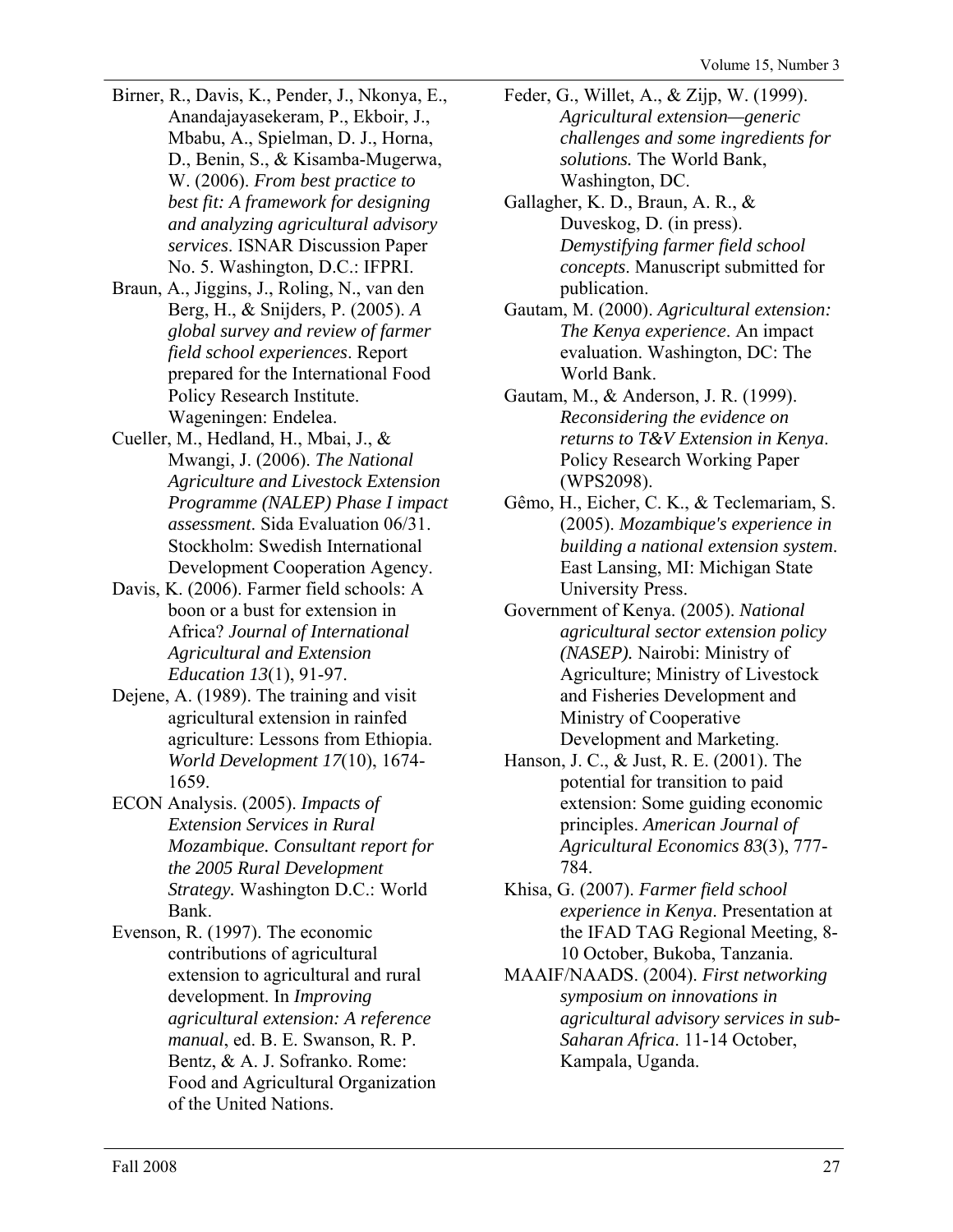- Birner, R., Davis, K., Pender, J., Nkonya, E., Anandajayasekeram, P., Ekboir, J., Mbabu, A., Spielman, D. J., Horna, D., Benin, S., & Kisamba-Mugerwa, W. (2006). *From best practice to best fit: A framework for designing and analyzing agricultural advisory services*. ISNAR Discussion Paper No. 5. Washington, D.C.: IFPRI.
- Braun, A., Jiggins, J., Roling, N., van den Berg, H., & Snijders, P. (2005). *A global survey and review of farmer field school experiences*. Report prepared for the International Food Policy Research Institute. Wageningen: Endelea.
- Cueller, M., Hedland, H., Mbai, J., & Mwangi, J. (2006). *The National Agriculture and Livestock Extension Programme (NALEP) Phase I impact assessment*. Sida Evaluation 06/31. Stockholm: Swedish International Development Cooperation Agency.
- Davis, K. (2006). Farmer field schools: A boon or a bust for extension in Africa? *Journal of International Agricultural and Extension Education 13*(1), 91-97.
- Dejene, A. (1989). The training and visit agricultural extension in rainfed agriculture: Lessons from Ethiopia. *World Development 17*(10), 1674- 1659.
- ECON Analysis. (2005). *Impacts of Extension Services in Rural Mozambique. Consultant report for the 2005 Rural Development Strategy.* Washington D.C.: World Bank.
- Evenson, R. (1997). The economic contributions of agricultural extension to agricultural and rural development. In *Improving agricultural extension: A reference manual*, ed. B. E. Swanson, R. P. Bentz, & A. J. Sofranko. Rome: Food and Agricultural Organization of the United Nations.
- Feder, G., Willet, A., & Zijp, W. (1999). *Agricultural extension—generic challenges and some ingredients for solutions.* The World Bank, Washington, DC.
- Gallagher, K. D., Braun, A. R., & Duveskog, D. (in press). *Demystifying farmer field school concepts*. Manuscript submitted for publication.
- Gautam, M. (2000). *Agricultural extension: The Kenya experience*. An impact evaluation. Washington, DC: The World Bank.
- Gautam, M., & Anderson, J. R. (1999). *Reconsidering the evidence on returns to T&V Extension in Kenya*. Policy Research Working Paper (WPS2098).
- Gêmo, H., Eicher, C. K., & Teclemariam, S. (2005). *Mozambique's experience in building a national extension system*. East Lansing, MI: Michigan State University Press.
- Government of Kenya. (2005). *National agricultural sector extension policy (NASEP).* Nairobi: Ministry of Agriculture; Ministry of Livestock and Fisheries Development and Ministry of Cooperative Development and Marketing.
- Hanson, J. C., & Just, R. E. (2001). The potential for transition to paid extension: Some guiding economic principles. *American Journal of Agricultural Economics 83*(3), 777- 784.
- Khisa, G. (2007). *Farmer field school experience in Kenya*. Presentation at the IFAD TAG Regional Meeting, 8- 10 October, Bukoba, Tanzania.
- MAAIF/NAADS. (2004). *First networking symposium on innovations in agricultural advisory services in sub-Saharan Africa*. 11-14 October, Kampala, Uganda.